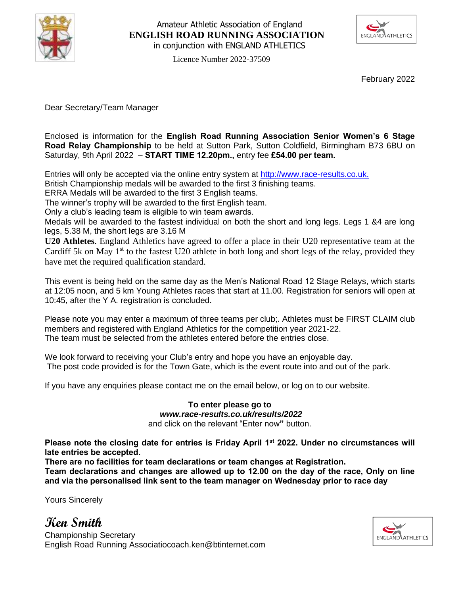

### Amateur Athletic Association of England **ENGLISH ROAD RUNNING ASSOCIATION** in conjunction with ENGLAND ATHLETICS



Licence Number 2022-37509

February 2022

Dear Secretary/Team Manager

Enclosed is information for the **English Road Running Association Senior Women's 6 Stage Road Relay Championship** to be held at Sutton Park, Sutton Coldfield, Birmingham B73 6BU on Saturday, 9th April 2022 – **START TIME 12.20pm.,** entry fee **£54.00 per team.**

Entries will only be accepted via the online entry system at [http://www.race-results.co.uk.](http://www.race-results.co.uk/results/2013/)

British Championship medals will be awarded to the first 3 finishing teams.

ERRA Medals will be awarded to the first 3 English teams.

The winner's trophy will be awarded to the first English team.

Only a club's leading team is eligible to win team awards.

Medals will be awarded to the fastest individual on both the short and long legs. Legs 1 &4 are long legs, 5.38 M, the short legs are 3.16 M

**U20 Athletes**. England Athletics have agreed to offer a place in their U20 representative team at the Cardiff 5k on May  $1<sup>st</sup>$  to the fastest U20 athlete in both long and short legs of the relay, provided they have met the required qualification standard.

This event is being held on the same day as the Men's National Road 12 Stage Relays, which starts at 12:05 noon, and 5 km Young Athletes races that start at 11.00. Registration for seniors will open at 10:45, after the Y A. registration is concluded.

Please note you may enter a maximum of three teams per club;. Athletes must be FIRST CLAIM club members and registered with England Athletics for the competition year 2021-22. The team must be selected from the athletes entered before the entries close.

We look forward to receiving your Club's entry and hope you have an enjoyable day. The post code provided is for the Town Gate, which is the event route into and out of the park.

If you have any enquiries please contact me on the email below, or log on to our website.

## **To enter please go to**  *www.race-results.co.uk/results/2022*

and click on the relevant "Enter now**"** button.

**Please note the closing date for entries is Friday April 1st 2022. Under no circumstances will late entries be accepted.**

**There are no facilities for team declarations or team changes at Registration.** 

**Team declarations and changes are allowed up to 12.00 on the day of the race, Only on line and via the personalised link sent to the team manager on Wednesday prior to race day** 

Yours Sincerely

**Ken Smith**



Championship Secretary English Road Running Associatiocoach.ken@btinternet.com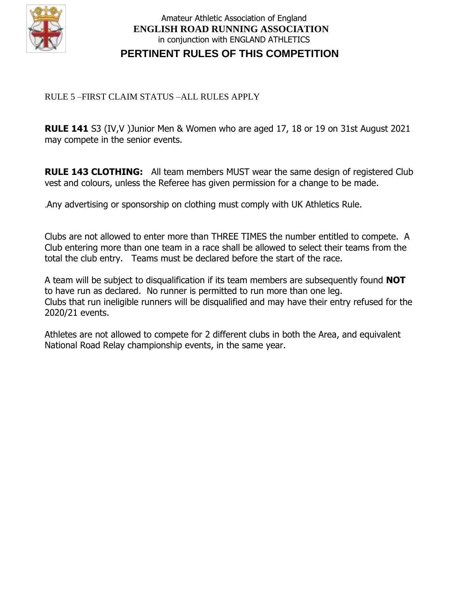

## Amateur Athletic Association of England **ENGLISH ROAD RUNNING ASSOCIATION** in conjunction with ENGLAND ATHLETICS **PERTINENT RULES OF THIS COMPETITION**

### RULE 5 –FIRST CLAIM STATUS –ALL RULES APPLY

**RULE 141** S3 (IV,V )Junior Men & Women who are aged 17, 18 or 19 on 31st August 2021 may compete in the senior events.

**RULE 143 CLOTHING:** All team members MUST wear the same design of registered Club vest and colours, unless the Referee has given permission for a change to be made.

.Any advertising or sponsorship on clothing must comply with UK Athletics Rule.

Clubs are not allowed to enter more than THREE TIMES the number entitled to compete. A Club entering more than one team in a race shall be allowed to select their teams from the total the club entry. Teams must be declared before the start of the race.

A team will be subject to disqualification if its team members are subsequently found **NOT** to have run as declared. No runner is permitted to run more than one leg. Clubs that run ineligible runners will be disqualified and may have their entry refused for the 2020/21 events.

Athletes are not allowed to compete for 2 different clubs in both the Area, and equivalent National Road Relay championship events, in the same year.